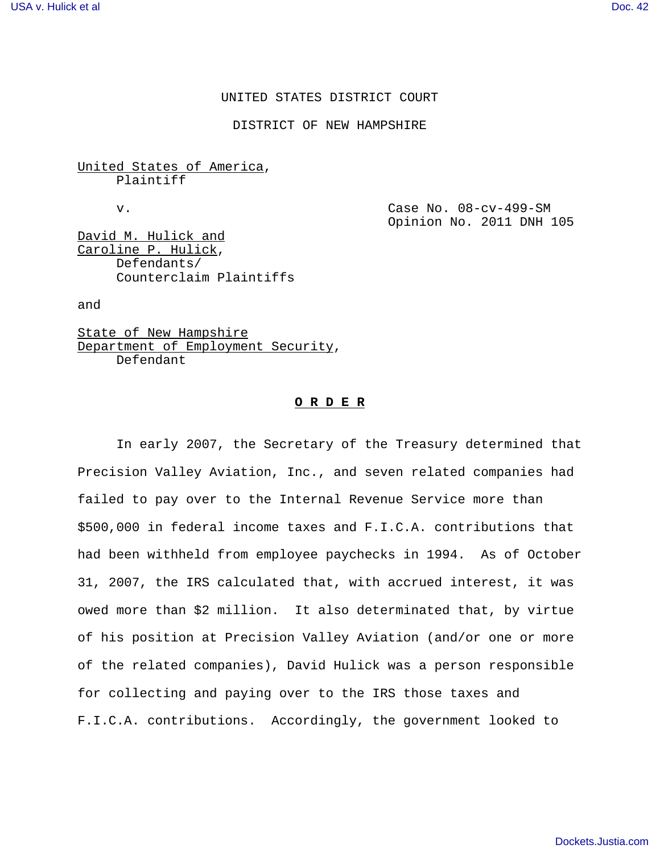# UNITED STATES DISTRICT COURT

DISTRICT OF NEW HAMPSHIRE

United States of America, Plaintiff

v. Case No. 08-cv-499-SM Opinion No. 2011 DNH 105

David M. Hulick and Caroline P. Hulick, Defendants/ Counterclaim Plaintiffs

and

State of New Hampshire Department of Employment Security, Defendant

## **O R D E R**

In early 2007, the Secretary of the Treasury determined that Precision Valley Aviation, Inc., and seven related companies had failed to pay over to the Internal Revenue Service more than \$500,000 in federal income taxes and F.I.C.A. contributions that had been withheld from employee paychecks in 1994. As of October 31, 2007, the IRS calculated that, with accrued interest, it was owed more than \$2 million. It also determinated that, by virtue of his position at Precision Valley Aviation (and/or one or more of the related companies), David Hulick was a person responsible for collecting and paying over to the IRS those taxes and F.I.C.A. contributions. Accordingly, the government looked to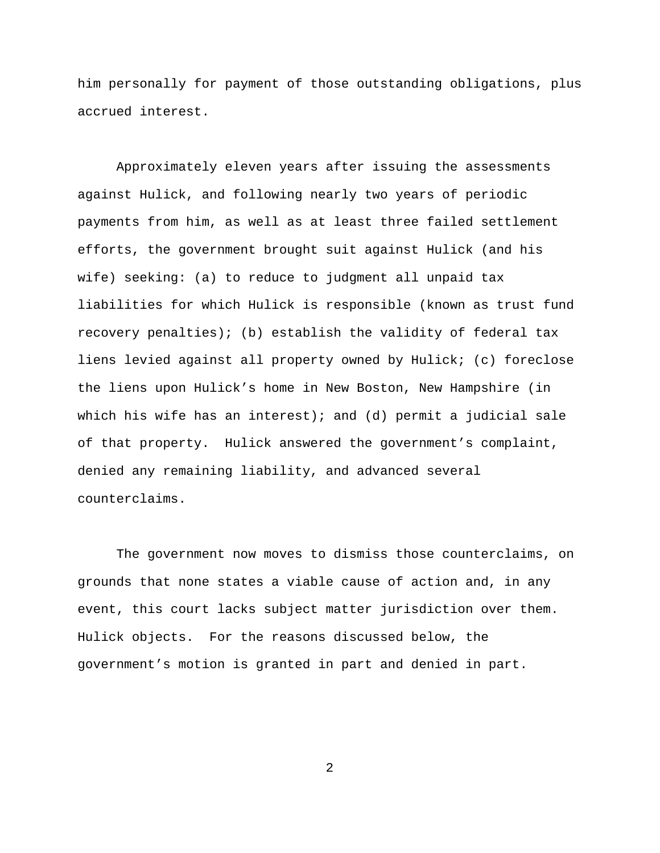him personally for payment of those outstanding obligations, plus accrued interest.

Approximately eleven years after issuing the assessments against Hulick, and following nearly two years of periodic payments from him, as well as at least three failed settlement efforts, the government brought suit against Hulick (and his wife) seeking: (a) to reduce to judgment all unpaid tax liabilities for which Hulick is responsible (known as trust fund recovery penalties); (b) establish the validity of federal tax liens levied against all property owned by Hulick; (c) foreclose the liens upon Hulick's home in New Boston, New Hampshire (in which his wife has an interest); and (d) permit a judicial sale of that property. Hulick answered the government's complaint, denied any remaining liability, and advanced several counterclaims.

The government now moves to dismiss those counterclaims, on grounds that none states a viable cause of action and, in any event, this court lacks subject matter jurisdiction over them. Hulick objects. For the reasons discussed below, the government's motion is granted in part and denied in part.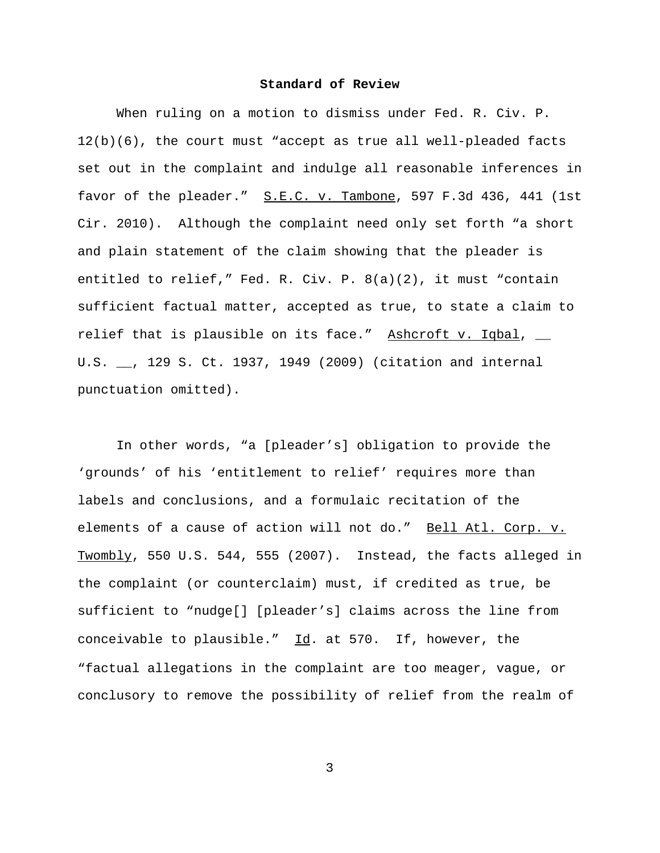# **Standard of Review**

When ruling on a motion to dismiss under Fed. R. Civ. P. 12(b)(6), the court must "accept as true all well-pleaded facts set out in the complaint and indulge all reasonable inferences in favor of the pleader." S.E.C. v. Tambone, 597 F.3d 436, 441 (1st Cir. 2010). Although the complaint need only set forth "a short and plain statement of the claim showing that the pleader is entitled to relief," Fed. R. Civ. P. 8(a)(2), it must "contain sufficient factual matter, accepted as true, to state a claim to relief that is plausible on its face." Ashcroft v. Iqbal,  $\overline{\phantom{a}}$ U.S. \_\_, 129 S. Ct. 1937, 1949 (2009) (citation and internal punctuation omitted).

In other words, "a [pleader's] obligation to provide the 'grounds' of his 'entitlement to relief' requires more than labels and conclusions, and a formulaic recitation of the elements of a cause of action will not do." Bell Atl. Corp. v. Twombly, 550 U.S. 544, 555 (2007). Instead, the facts alleged in the complaint (or counterclaim) must, if credited as true, be sufficient to "nudge[] [pleader's] claims across the line from conceivable to plausible."  $\underline{Id}$ . at 570. If, however, the "factual allegations in the complaint are too meager, vague, or conclusory to remove the possibility of relief from the realm of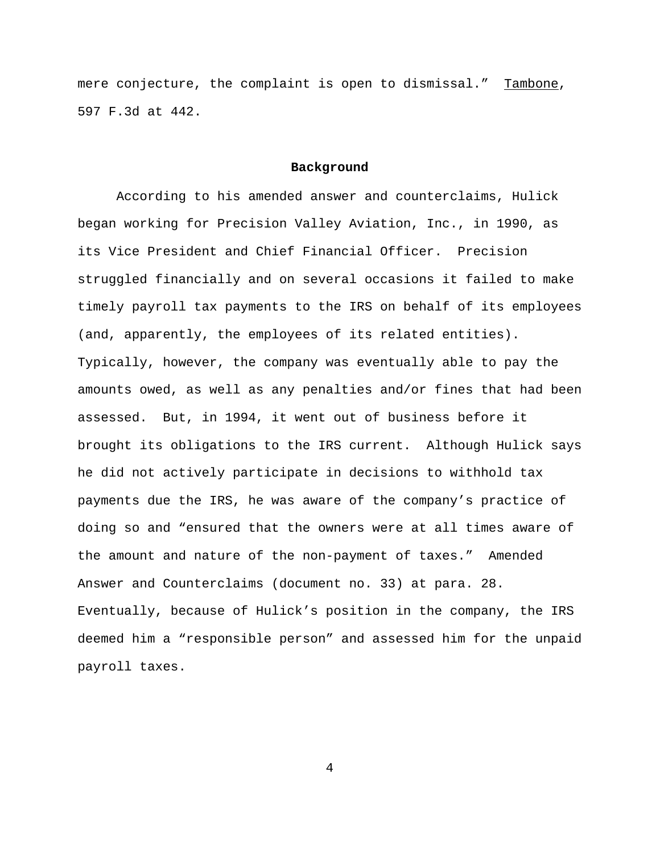mere conjecture, the complaint is open to dismissal." Tambone, 597 F.3d at 442.

#### **Background**

According to his amended answer and counterclaims, Hulick began working for Precision Valley Aviation, Inc., in 1990, as its Vice President and Chief Financial Officer. Precision struggled financially and on several occasions it failed to make timely payroll tax payments to the IRS on behalf of its employees (and, apparently, the employees of its related entities). Typically, however, the company was eventually able to pay the amounts owed, as well as any penalties and/or fines that had been assessed. But, in 1994, it went out of business before it brought its obligations to the IRS current. Although Hulick says he did not actively participate in decisions to withhold tax payments due the IRS, he was aware of the company's practice of doing so and "ensured that the owners were at all times aware of the amount and nature of the non-payment of taxes." Amended Answer and Counterclaims (document no. 33) at para. 28. Eventually, because of Hulick's position in the company, the IRS deemed him a "responsible person" and assessed him for the unpaid payroll taxes.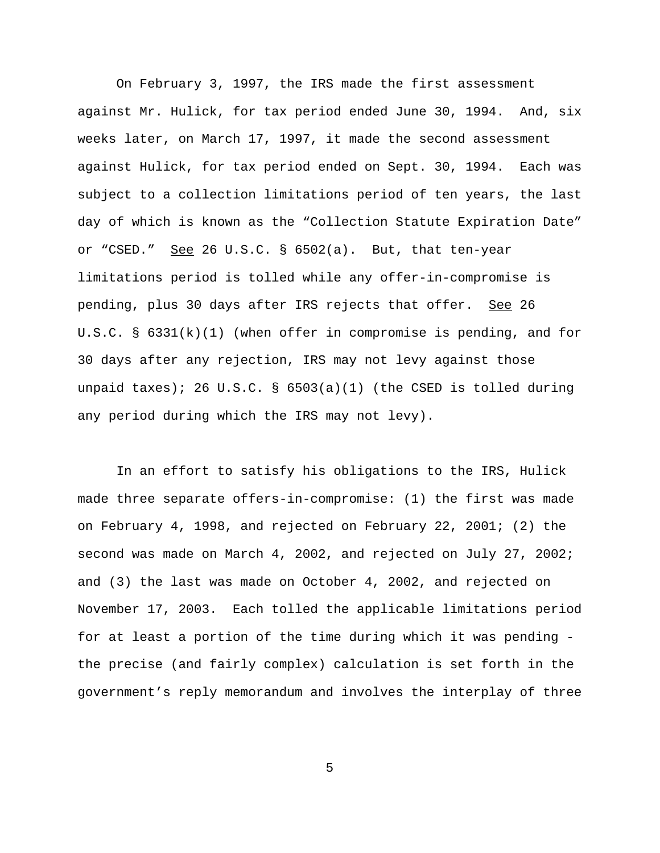On February 3, 1997, the IRS made the first assessment against Mr. Hulick, for tax period ended June 30, 1994. And, six weeks later, on March 17, 1997, it made the second assessment against Hulick, for tax period ended on Sept. 30, 1994. Each was subject to a collection limitations period of ten years, the last day of which is known as the "Collection Statute Expiration Date" or "CSED." See 26 U.S.C.  $\S$  6502(a). But, that ten-year limitations period is tolled while any offer-in-compromise is pending, plus 30 days after IRS rejects that offer. See 26 U.S.C. §  $6331(k)(1)$  (when offer in compromise is pending, and for 30 days after any rejection, IRS may not levy against those unpaid taxes); 26 U.S.C. §  $6503(a)(1)$  (the CSED is tolled during any period during which the IRS may not levy).

In an effort to satisfy his obligations to the IRS, Hulick made three separate offers-in-compromise: (1) the first was made on February 4, 1998, and rejected on February 22, 2001; (2) the second was made on March 4, 2002, and rejected on July 27, 2002; and (3) the last was made on October 4, 2002, and rejected on November 17, 2003. Each tolled the applicable limitations period for at least a portion of the time during which it was pending the precise (and fairly complex) calculation is set forth in the government's reply memorandum and involves the interplay of three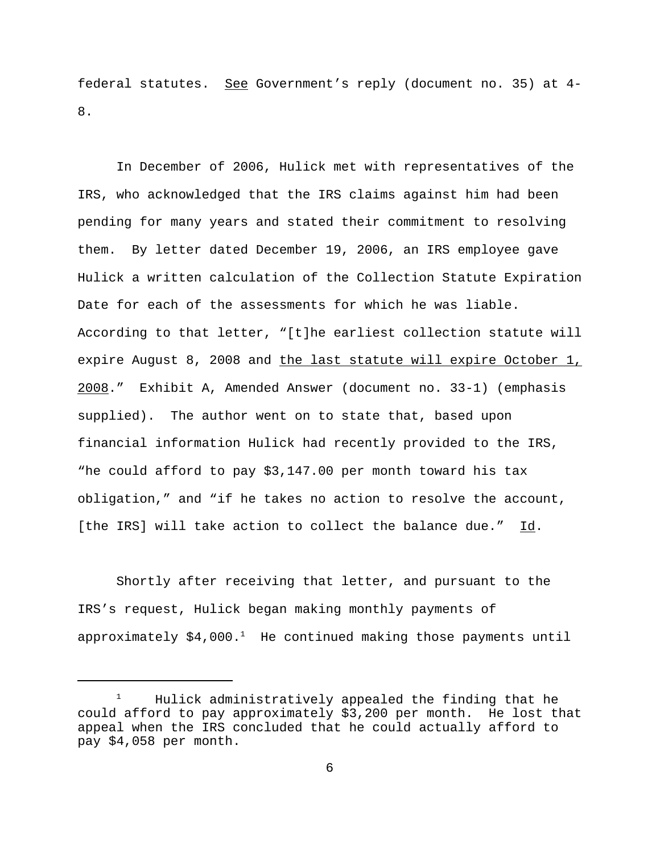federal statutes. See Government's reply (document no. 35) at 4- 8.

In December of 2006, Hulick met with representatives of the IRS, who acknowledged that the IRS claims against him had been pending for many years and stated their commitment to resolving them. By letter dated December 19, 2006, an IRS employee gave Hulick a written calculation of the Collection Statute Expiration Date for each of the assessments for which he was liable. According to that letter, "[t]he earliest collection statute will expire August 8, 2008 and the last statute will expire October 1, 2008." Exhibit A, Amended Answer (document no. 33-1) (emphasis supplied). The author went on to state that, based upon financial information Hulick had recently provided to the IRS, "he could afford to pay \$3,147.00 per month toward his tax obligation," and "if he takes no action to resolve the account, [the IRS] will take action to collect the balance due." Id.

Shortly after receiving that letter, and pursuant to the IRS's request, Hulick began making monthly payments of approximately  $$4,000.<sup>1</sup>$  He continued making those payments until

<sup>&</sup>lt;sup>1</sup> Hulick administratively appealed the finding that he could afford to pay approximately \$3,200 per month. He lost that appeal when the IRS concluded that he could actually afford to pay \$4,058 per month.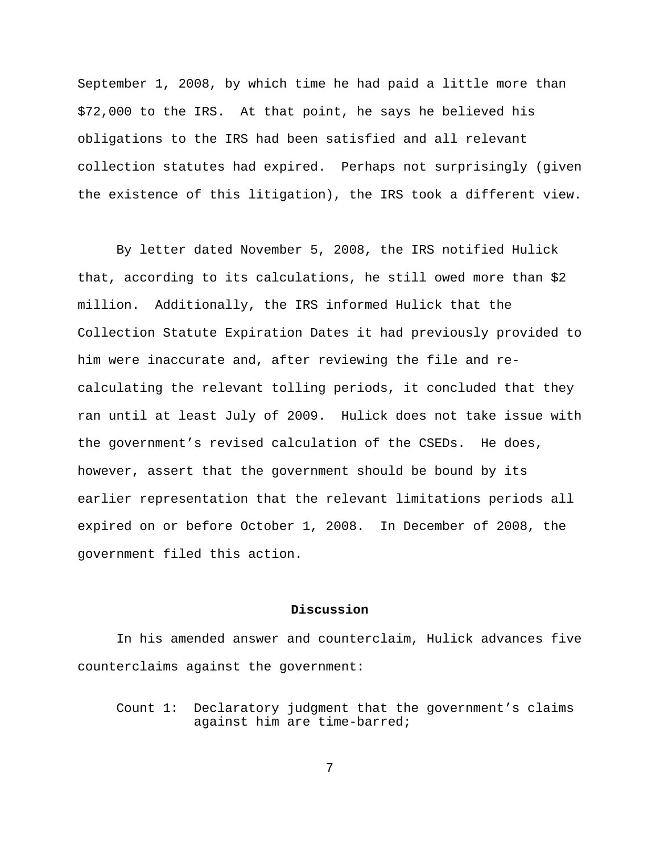September 1, 2008, by which time he had paid a little more than \$72,000 to the IRS. At that point, he says he believed his obligations to the IRS had been satisfied and all relevant collection statutes had expired. Perhaps not surprisingly (given the existence of this litigation), the IRS took a different view.

By letter dated November 5, 2008, the IRS notified Hulick that, according to its calculations, he still owed more than \$2 million. Additionally, the IRS informed Hulick that the Collection Statute Expiration Dates it had previously provided to him were inaccurate and, after reviewing the file and recalculating the relevant tolling periods, it concluded that they ran until at least July of 2009. Hulick does not take issue with the government's revised calculation of the CSEDs. He does, however, assert that the government should be bound by its earlier representation that the relevant limitations periods all expired on or before October 1, 2008. In December of 2008, the government filed this action.

# **Discussion**

In his amended answer and counterclaim, Hulick advances five counterclaims against the government:

Count 1: Declaratory judgment that the government's claims against him are time-barred;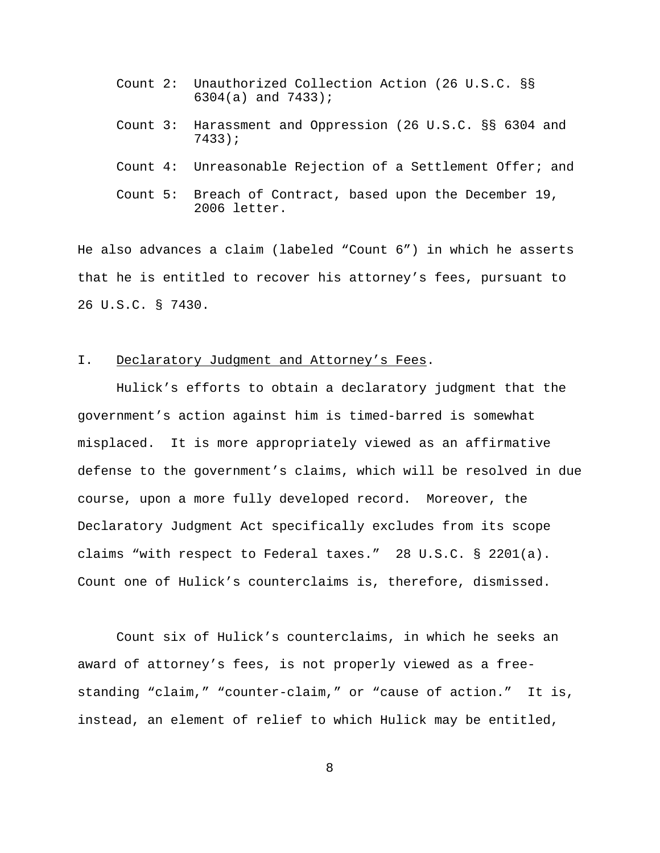- Count 2: Unauthorized Collection Action (26 U.S.C. §§ 6304(a) and 7433);
- Count 3: Harassment and Oppression (26 U.S.C. §§ 6304 and 7433);
- Count 4: Unreasonable Rejection of a Settlement Offer; and
- Count 5: Breach of Contract, based upon the December 19, 2006 letter.

He also advances a claim (labeled "Count 6") in which he asserts that he is entitled to recover his attorney's fees, pursuant to 26 U.S.C. § 7430.

## I. Declaratory Judgment and Attorney's Fees.

Hulick's efforts to obtain a declaratory judgment that the government's action against him is timed-barred is somewhat misplaced. It is more appropriately viewed as an affirmative defense to the government's claims, which will be resolved in due course, upon a more fully developed record. Moreover, the Declaratory Judgment Act specifically excludes from its scope claims "with respect to Federal taxes." 28 U.S.C. § 2201(a). Count one of Hulick's counterclaims is, therefore, dismissed.

Count six of Hulick's counterclaims, in which he seeks an award of attorney's fees, is not properly viewed as a freestanding "claim," "counter-claim," or "cause of action." It is, instead, an element of relief to which Hulick may be entitled,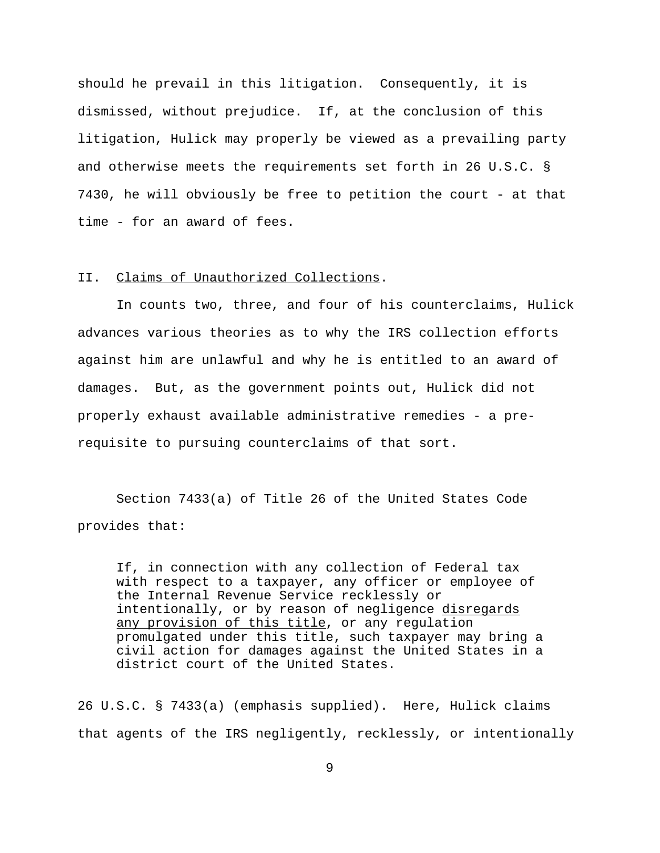should he prevail in this litigation. Consequently, it is dismissed, without prejudice. If, at the conclusion of this litigation, Hulick may properly be viewed as a prevailing party and otherwise meets the requirements set forth in 26 U.S.C. § 7430, he will obviously be free to petition the court - at that time - for an award of fees.

## II. Claims of Unauthorized Collections.

In counts two, three, and four of his counterclaims, Hulick advances various theories as to why the IRS collection efforts against him are unlawful and why he is entitled to an award of damages. But, as the government points out, Hulick did not properly exhaust available administrative remedies - a prerequisite to pursuing counterclaims of that sort.

Section 7433(a) of Title 26 of the United States Code provides that:

If, in connection with any collection of Federal tax with respect to a taxpayer, any officer or employee of the Internal Revenue Service recklessly or intentionally, or by reason of negligence disregards any provision of this title, or any regulation promulgated under this title, such taxpayer may bring a civil action for damages against the United States in a district court of the United States.

26 U.S.C. § 7433(a) (emphasis supplied). Here, Hulick claims that agents of the IRS negligently, recklessly, or intentionally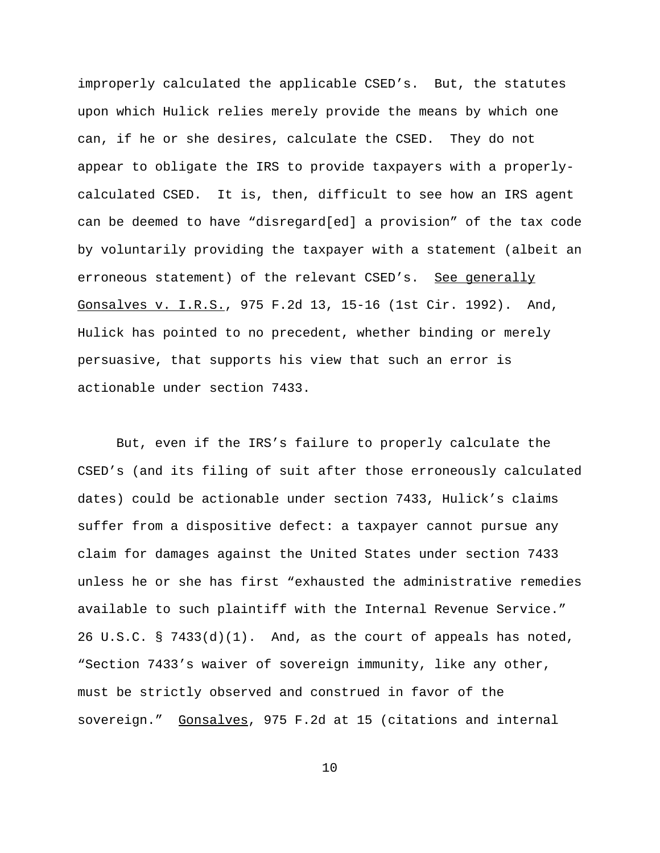improperly calculated the applicable CSED's. But, the statutes upon which Hulick relies merely provide the means by which one can, if he or she desires, calculate the CSED. They do not appear to obligate the IRS to provide taxpayers with a properlycalculated CSED. It is, then, difficult to see how an IRS agent can be deemed to have "disregard[ed] a provision" of the tax code by voluntarily providing the taxpayer with a statement (albeit an erroneous statement) of the relevant CSED's. See generally Gonsalves v. I.R.S., 975 F.2d 13, 15-16 (1st Cir. 1992). And, Hulick has pointed to no precedent, whether binding or merely persuasive, that supports his view that such an error is actionable under section 7433.

But, even if the IRS's failure to properly calculate the CSED's (and its filing of suit after those erroneously calculated dates) could be actionable under section 7433, Hulick's claims suffer from a dispositive defect: a taxpayer cannot pursue any claim for damages against the United States under section 7433 unless he or she has first "exhausted the administrative remedies available to such plaintiff with the Internal Revenue Service." 26 U.S.C. § 7433(d)(1). And, as the court of appeals has noted, "Section 7433's waiver of sovereign immunity, like any other, must be strictly observed and construed in favor of the sovereign." Gonsalves, 975 F.2d at 15 (citations and internal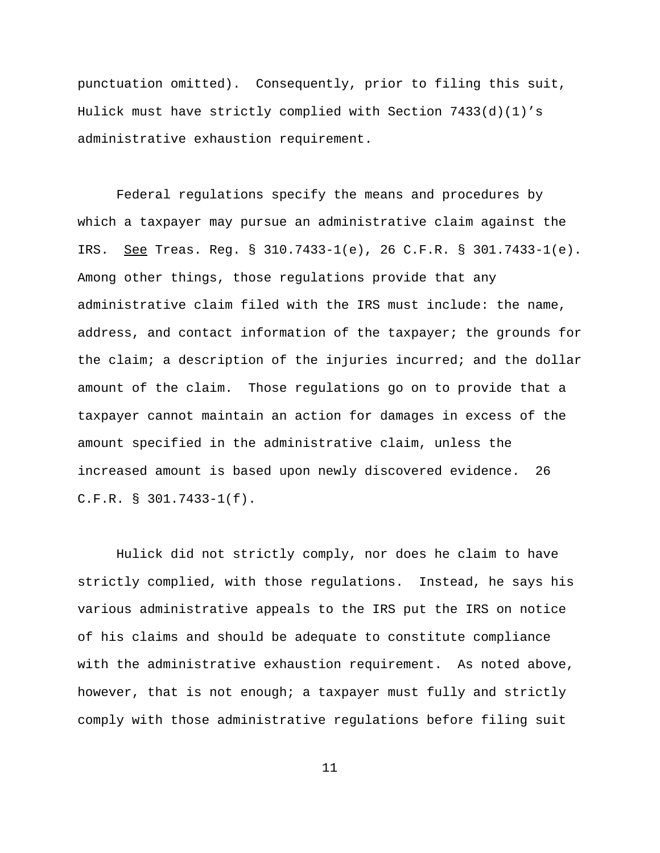punctuation omitted). Consequently, prior to filing this suit, Hulick must have strictly complied with Section 7433(d)(1)'s administrative exhaustion requirement.

Federal regulations specify the means and procedures by which a taxpayer may pursue an administrative claim against the IRS. See Treas. Reg. § 310.7433-1(e), 26 C.F.R. § 301.7433-1(e). Among other things, those regulations provide that any administrative claim filed with the IRS must include: the name, address, and contact information of the taxpayer; the grounds for the claim; a description of the injuries incurred; and the dollar amount of the claim. Those regulations go on to provide that a taxpayer cannot maintain an action for damages in excess of the amount specified in the administrative claim, unless the increased amount is based upon newly discovered evidence. 26 C.F.R. § 301.7433-1(f).

Hulick did not strictly comply, nor does he claim to have strictly complied, with those regulations. Instead, he says his various administrative appeals to the IRS put the IRS on notice of his claims and should be adequate to constitute compliance with the administrative exhaustion requirement. As noted above, however, that is not enough; a taxpayer must fully and strictly comply with those administrative regulations before filing suit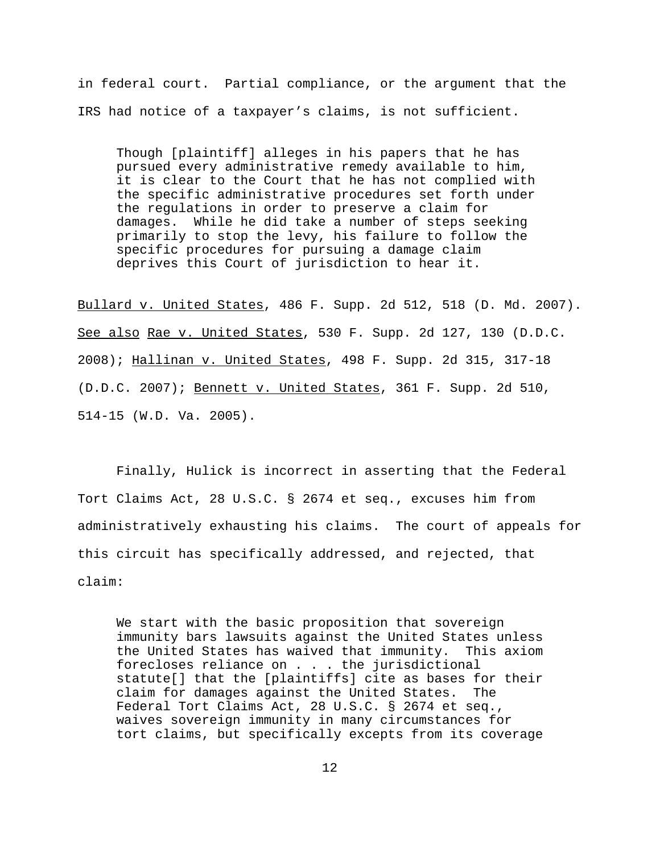in federal court. Partial compliance, or the argument that the IRS had notice of a taxpayer's claims, is not sufficient.

Though [plaintiff] alleges in his papers that he has pursued every administrative remedy available to him, it is clear to the Court that he has not complied with the specific administrative procedures set forth under the regulations in order to preserve a claim for damages. While he did take a number of steps seeking primarily to stop the levy, his failure to follow the specific procedures for pursuing a damage claim deprives this Court of jurisdiction to hear it.

Bullard v. United States, 486 F. Supp. 2d 512, 518 (D. Md. 2007). See also Rae v. United States, 530 F. Supp. 2d 127, 130 (D.D.C. 2008); Hallinan v. United States, 498 F. Supp. 2d 315, 317-18 (D.D.C. 2007); Bennett v. United States, 361 F. Supp. 2d 510, 514-15 (W.D. Va. 2005).

Finally, Hulick is incorrect in asserting that the Federal Tort Claims Act, 28 U.S.C. § 2674 et seq., excuses him from administratively exhausting his claims. The court of appeals for this circuit has specifically addressed, and rejected, that claim:

We start with the basic proposition that sovereign immunity bars lawsuits against the United States unless the United States has waived that immunity. This axiom forecloses reliance on . . . the jurisdictional statute[] that the [plaintiffs] cite as bases for their claim for damages against the United States. The Federal Tort Claims Act, 28 U.S.C. § 2674 et seq., waives sovereign immunity in many circumstances for tort claims, but specifically excepts from its coverage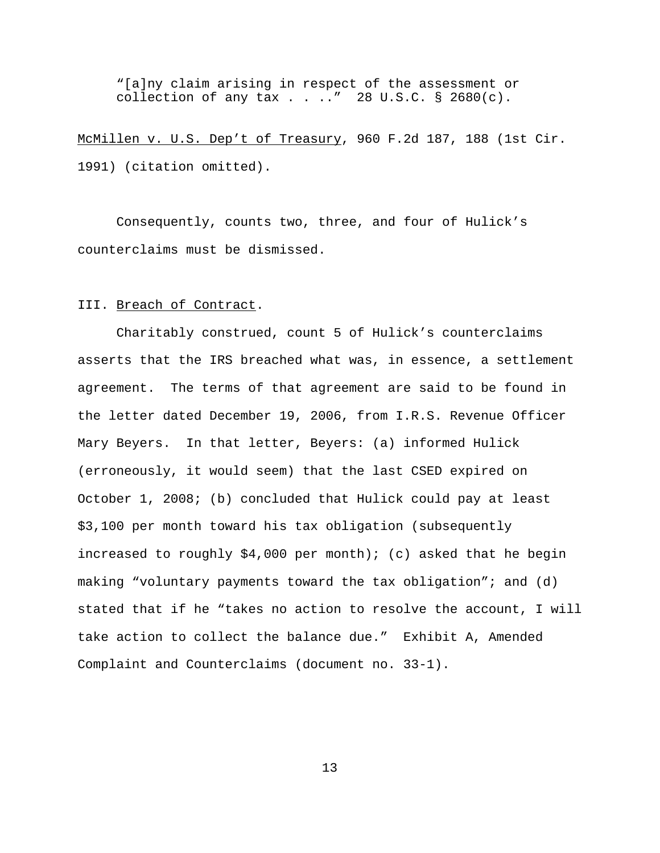"[a]ny claim arising in respect of the assessment or collection of any tax . . .." 28 U.S.C.  $\S$  2680(c).

McMillen v. U.S. Dep't of Treasury, 960 F.2d 187, 188 (1st Cir. 1991) (citation omitted).

Consequently, counts two, three, and four of Hulick's counterclaims must be dismissed.

## III. Breach of Contract.

Charitably construed, count 5 of Hulick's counterclaims asserts that the IRS breached what was, in essence, a settlement agreement. The terms of that agreement are said to be found in the letter dated December 19, 2006, from I.R.S. Revenue Officer Mary Beyers. In that letter, Beyers: (a) informed Hulick (erroneously, it would seem) that the last CSED expired on October 1, 2008; (b) concluded that Hulick could pay at least \$3,100 per month toward his tax obligation (subsequently increased to roughly  $$4,000$  per month); (c) asked that he begin making "voluntary payments toward the tax obligation"; and (d) stated that if he "takes no action to resolve the account, I will take action to collect the balance due." Exhibit A, Amended Complaint and Counterclaims (document no. 33-1).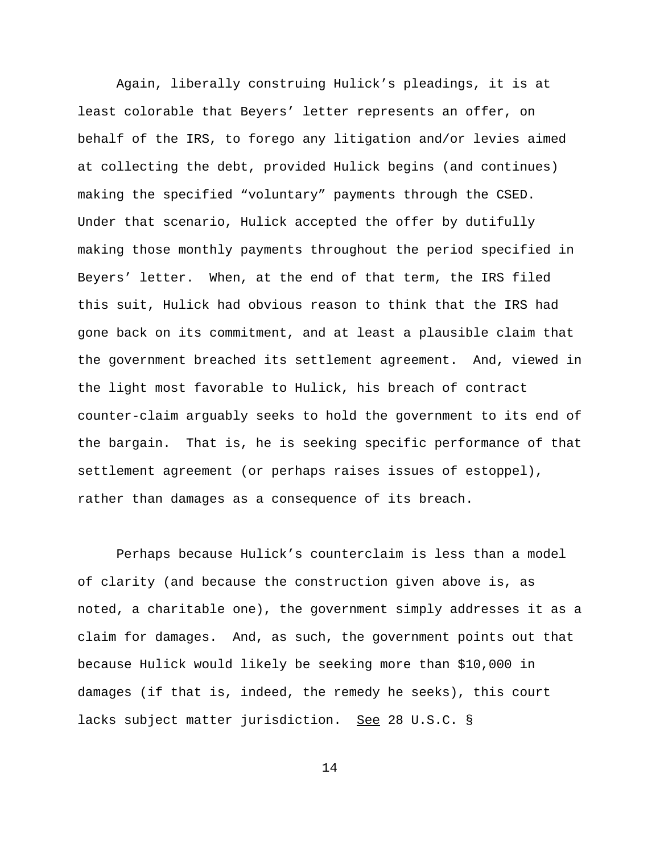Again, liberally construing Hulick's pleadings, it is at least colorable that Beyers' letter represents an offer, on behalf of the IRS, to forego any litigation and/or levies aimed at collecting the debt, provided Hulick begins (and continues) making the specified "voluntary" payments through the CSED. Under that scenario, Hulick accepted the offer by dutifully making those monthly payments throughout the period specified in Beyers' letter. When, at the end of that term, the IRS filed this suit, Hulick had obvious reason to think that the IRS had gone back on its commitment, and at least a plausible claim that the government breached its settlement agreement. And, viewed in the light most favorable to Hulick, his breach of contract counter-claim arguably seeks to hold the government to its end of the bargain. That is, he is seeking specific performance of that settlement agreement (or perhaps raises issues of estoppel), rather than damages as a consequence of its breach.

Perhaps because Hulick's counterclaim is less than a model of clarity (and because the construction given above is, as noted, a charitable one), the government simply addresses it as a claim for damages. And, as such, the government points out that because Hulick would likely be seeking more than \$10,000 in damages (if that is, indeed, the remedy he seeks), this court lacks subject matter jurisdiction. See 28 U.S.C. §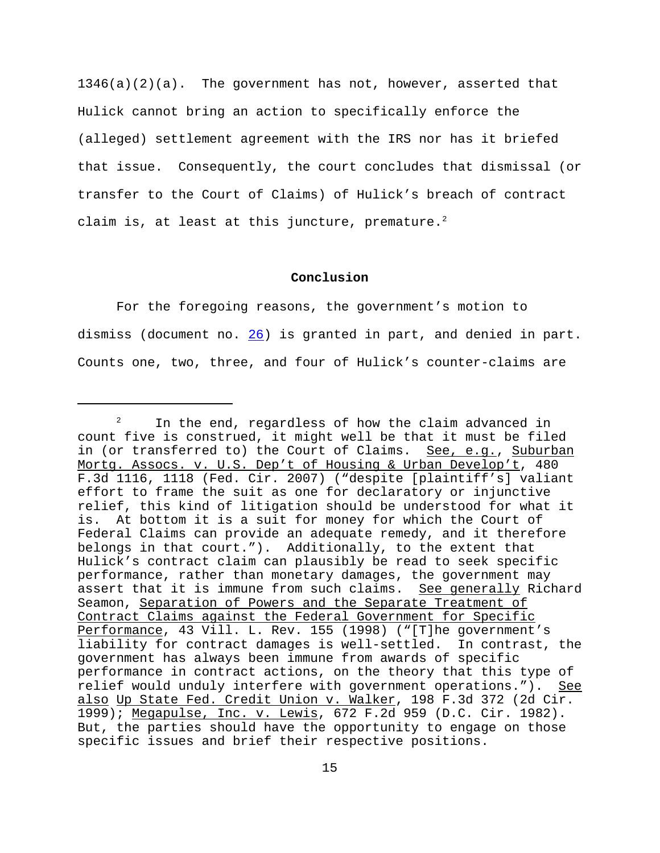$1346(a)(2)(a)$ . The government has not, however, asserted that Hulick cannot bring an action to specifically enforce the (alleged) settlement agreement with the IRS nor has it briefed that issue. Consequently, the court concludes that dismissal (or transfer to the Court of Claims) of Hulick's breach of contract claim is, at least at this juncture, premature. $2$ 

### **Conclusion**

For the foregoing reasons, the government's motion to dismiss (document no. 26) is granted in part, and denied in part. Counts one, two, three, and four of Hulick's counter-claims are

In the end, regardless of how the claim advanced in count five is construed, it might well be that it must be filed in (or transferred to) the Court of Claims. See, e.g., Suburban Mortg. Assocs. v. U.S. Dep't of Housing & Urban Develop't, 480 F.3d 1116, 1118 (Fed. Cir. 2007) ("despite [plaintiff's] valiant effort to frame the suit as one for declaratory or injunctive relief, this kind of litigation should be understood for what it is. At bottom it is a suit for money for which the Court of Federal Claims can provide an adequate remedy, and it therefore belongs in that court."). Additionally, to the extent that Hulick's contract claim can plausibly be read to seek specific performance, rather than monetary damages, the government may assert that it is immune from such claims. See generally Richard Seamon, Separation of Powers and the Separate Treatment of Contract Claims against the Federal Government for Specific Performance, 43 Vill. L. Rev. 155 (1998) ("[T]he government's liability for contract damages is well-settled. In contrast, the government has always been immune from awards of specific performance in contract actions, on the theory that this type of relief would unduly interfere with government operations."). See also Up State Fed. Credit Union v. Walker, 198 F.3d 372 (2d Cir. 1999); Megapulse, Inc. v. Lewis, 672 F.2d 959 (D.C. Cir. 1982). But, the parties should have the opportunity to engage on those specific issues and brief their respective positions.